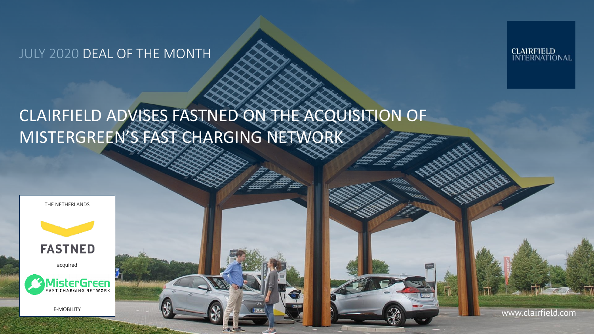JULY 2020 DEAL OF THE MONTH

**CLAIRFIELD<br>INTERNATIONAL** 

# CLAIRFIELD ADVISES FASTNED ON THE ACQUISITION OF MISTERGREEN'S FAST CHARGING NETWORK



E-MOBILITY

www.clairfield.com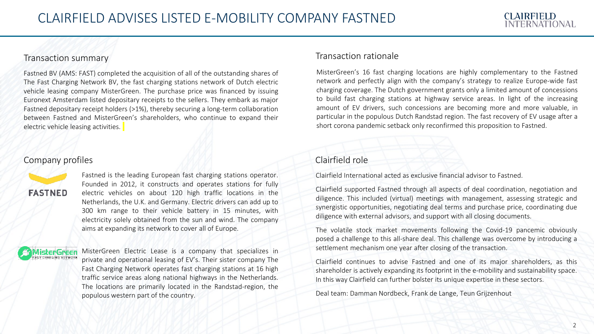#### Transaction summary

Fastned BV (AMS: FAST) completed the acquisition of all of the outstanding shares of The Fast Charging Network BV, the fast charging stations network of Dutch electric vehicle leasing company MisterGreen. The purchase price was financed by issuing Euronext Amsterdam listed depositary receipts to the sellers. They embark as major Fastned depositary receipt holders (>1%), thereby securing a long-term collaboration between Fastned and MisterGreen's shareholders, who continue to expand their electric vehicle leasing activities.

## Company profiles



Fastned is the leading European fast charging stations operator. Founded in 2012, it constructs and operates stations for fully electric vehicles on about 120 high traffic locations in the Netherlands, the U.K. and Germany. Electric drivers can add up to 300 km range to their vehicle battery in 15 minutes, with electricity solely obtained from the sun and wind. The company aims at expanding its network to cover all of Europe.

1isterGreen<br>st charging network

MisterGreen Electric Lease is a company that specializes in private and operational leasing of EV's. Their sister company The Fast Charging Network operates fast charging stations at 16 high traffic service areas along national highways in the Netherlands. The locations are primarily located in the Randstad-region, the populous western part of the country.

#### Transaction rationale

MisterGreen's 16 fast charging locations are highly complementary to the Fastned network and perfectly align with the company's strategy to realize Europe-wide fast charging coverage. The Dutch government grants only a limited amount of concessions to build fast charging stations at highway service areas. In light of the increasing amount of EV drivers, such concessions are becoming more and more valuable, in particular in the populous Dutch Randstad region. The fast recovery of EV usage after a short corona pandemic setback only reconfirmed this proposition to Fastned.

## Clairfield role

Clairfield International acted as exclusive financial advisor to Fastned.

Clairfield supported Fastned through all aspects of deal coordination, negotiation and diligence. This included (virtual) meetings with management, assessing strategic and synergistic opportunities, negotiating deal terms and purchase price, coordinating due diligence with external advisors, and support with all closing documents.

The volatile stock market movements following the Covid-19 pancemic obviously posed a challenge to this all-share deal. This challenge was overcome by introducing a settlement mechanism one year after closing of the transaction.

Clairfield continues to advise Fastned and one of its major shareholders, as this shareholder is actively expanding its footprint in the e-mobility and sustainability space. In this way Clairfield can further bolster its unique expertise in these sectors.

Deal team: Damman Nordbeck, Frank de Lange, Teun Grijzenhout